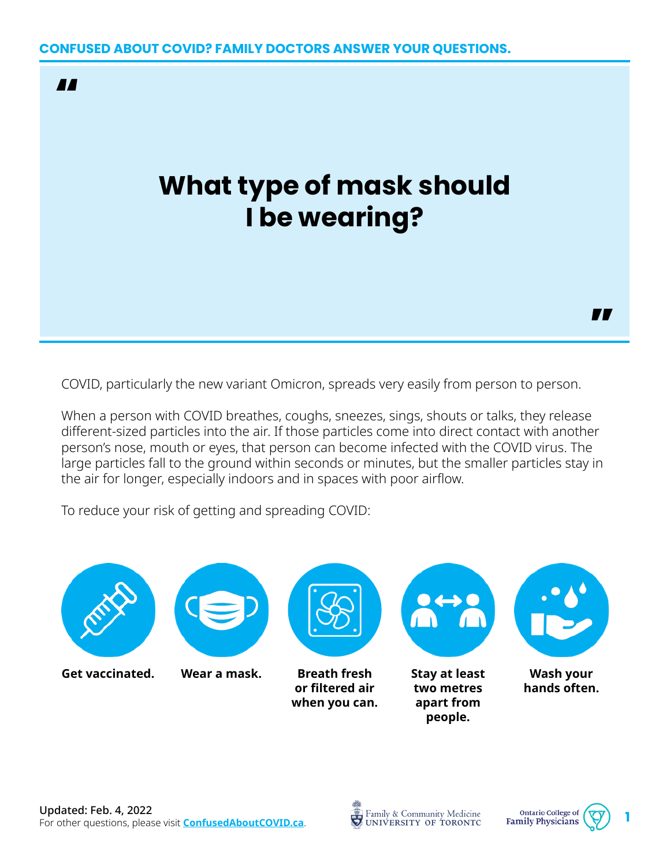

# **What type of mask should I be wearing?**

COVID, particularly the new variant Omicron, spreads very easily from person to person.

When a person with COVID breathes, coughs, sneezes, sings, shouts or talks, they release different-sized particles into the air. If those particles come into direct contact with another person's nose, mouth or eyes, that person can become infected with the COVID virus. The large particles fall to the ground within seconds or minutes, but the smaller particles stay in the air for longer, especially indoors and in spaces with poor airflow.

To reduce your risk of getting and spreading COVID:







"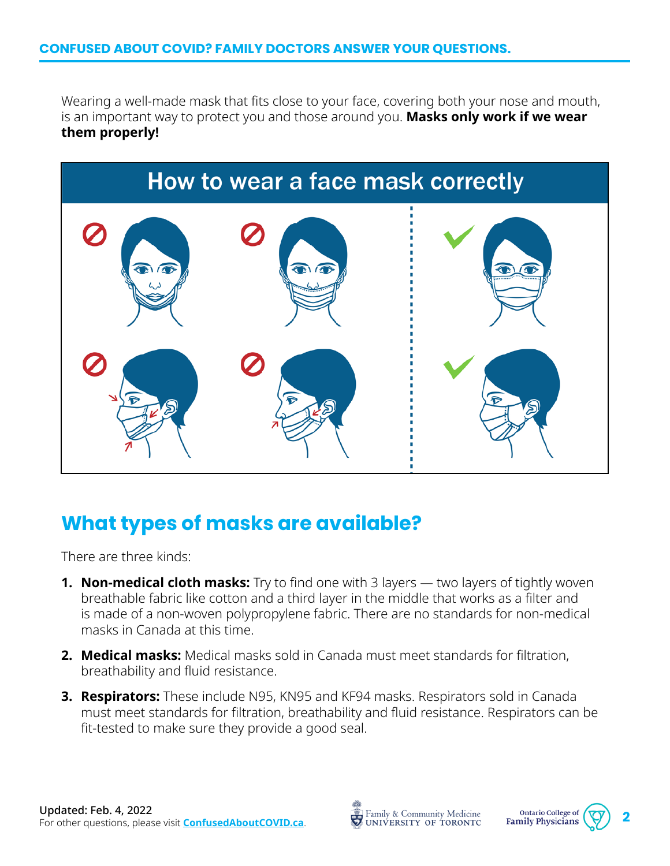Wearing a well-made mask that fits close to your face, covering both your nose and mouth, is an important way to protect you and those around you. **Masks only work if we wear them properly!**



## **What types of masks are available?**

There are three kinds:

- **1. Non-medical cloth masks:** Try to find one with 3 layers two layers of tightly woven breathable fabric like cotton and a third layer in the middle that works as a filter and is made of a non-woven polypropylene fabric. There are no standards for non-medical masks in Canada at this time.
- **2. Medical masks:** Medical masks sold in Canada must meet standards for filtration, breathability and fluid resistance.
- **3. Respirators:** These include N95, KN95 and KF94 masks. Respirators sold in Canada must meet standards for filtration, breathability and fluid resistance. Respirators can be fit-tested to make sure they provide a good seal.



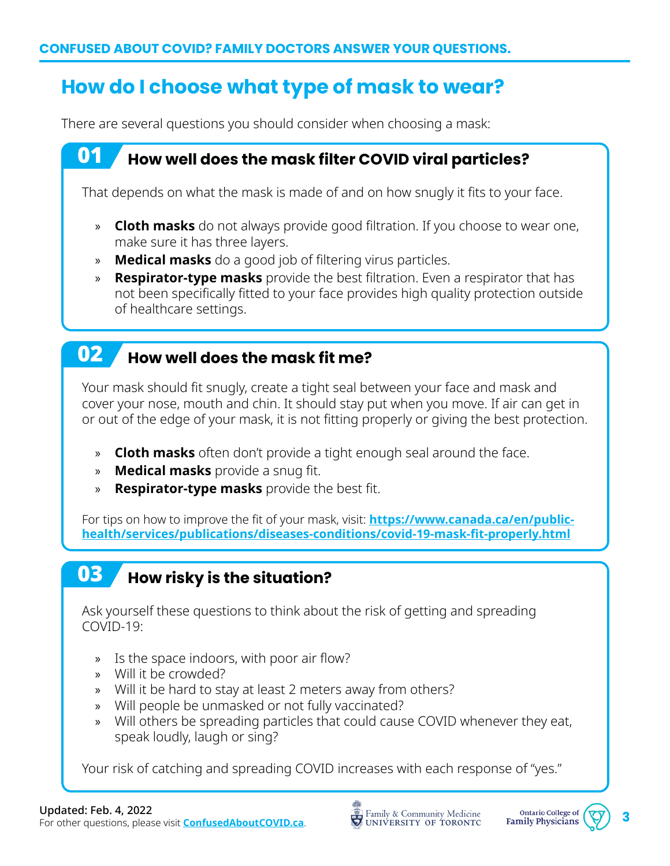# **How do I choose what type of mask to wear?**

There are several questions you should consider when choosing a mask:

#### 01 **How well does the mask filter COVID viral particles?**

That depends on what the mask is made of and on how snugly it fits to your face.

- » **Cloth masks** do not always provide good filtration. If you choose to wear one, make sure it has three layers.
- » **Medical masks** do a good job of filtering virus particles.
- » **Respirator-type masks** provide the best filtration. Even a respirator that has not been specifically fitted to your face provides high quality protection outside of healthcare settings.

#### 02 **How well does the mask fit me?**

Your mask should fit snugly, create a tight seal between your face and mask and cover your nose, mouth and chin. It should stay put when you move. If air can get in or out of the edge of your mask, it is not fitting properly or giving the best protection.

- » **Cloth masks** often don't provide a tight enough seal around the face.
- » **Medical masks** provide a snug fit.
- » **Respirator-type masks** provide the best fit.

For tips on how to improve the fit of your mask, visit: **[https://www.canada.ca/en/public](https://www.canada.ca/en/public-health/services/publications/diseases-conditions/covid-19-mask-fit-properly.html)[health/services/publications/diseases-conditions/covid-19-mask-fit-properly.html](https://www.canada.ca/en/public-health/services/publications/diseases-conditions/covid-19-mask-fit-properly.html)**

# 03 **How risky is the situation?**

Ask yourself these questions to think about the risk of getting and spreading COVID-19:

- » Is the space indoors, with poor air flow?
- » Will it be crowded?
- » Will it be hard to stay at least 2 meters away from others?
- » Will people be unmasked or not fully vaccinated?
- » Will others be spreading particles that could cause COVID whenever they eat, speak loudly, laugh or sing?

Your risk of catching and spreading COVID increases with each response of "yes."